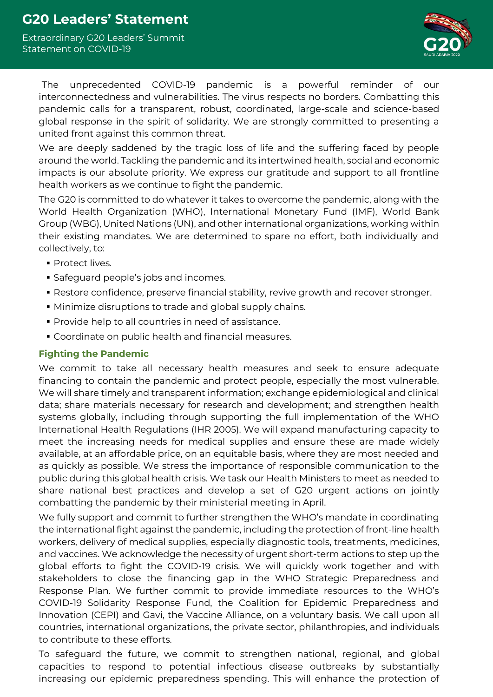# **G20 Leaders' Statement**

Extraordinary G20 Leaders' Summit Statement on COVID-19



The unprecedented COVID-19 pandemic is a powerful reminder of our interconnectedness and vulnerabilities. The virus respects no borders. Combatting this pandemic calls for a transparent, robust, coordinated, large-scale and science-based global response in the spirit of solidarity. We are strongly committed to presenting a united front against this common threat.

We are deeply saddened by the tragic loss of life and the suffering faced by people around the world. Tackling the pandemic and its intertwined health, social and economic impacts is our absolute priority. We express our gratitude and support to all frontline health workers as we continue to fight the pandemic.

The G20 is committed to do whatever it takes to overcome the pandemic, along with the World Health Organization (WHO), International Monetary Fund (IMF), World Bank Group (WBG), United Nations (UN), and other international organizations, working within their existing mandates. We are determined to spare no effort, both individually and collectively, to:

- **Protect lives.**
- **Safeguard people's jobs and incomes.**
- **Restore confidence, preserve financial stability, revive growth and recover stronger.**
- **Minimize disruptions to trade and global supply chains.**
- Provide help to all countries in need of assistance.
- Coordinate on public health and financial measures.

#### **Fighting the Pandemic**

We commit to take all necessary health measures and seek to ensure adequate financing to contain the pandemic and protect people, especially the most vulnerable. We will share timely and transparent information; exchange epidemiological and clinical data; share materials necessary for research and development; and strengthen health systems globally, including through supporting the full implementation of the WHO International Health Regulations (IHR 2005). We will expand manufacturing capacity to meet the increasing needs for medical supplies and ensure these are made widely available, at an affordable price, on an equitable basis, where they are most needed and as quickly as possible. We stress the importance of responsible communication to the public during this global health crisis. We task our Health Ministers to meet as needed to share national best practices and develop a set of G20 urgent actions on jointly combatting the pandemic by their ministerial meeting in April.

We fully support and commit to further strengthen the WHO's mandate in coordinating the international fight against the pandemic, including the protection of front-line health workers, delivery of medical supplies, especially diagnostic tools, treatments, medicines, and vaccines. We acknowledge the necessity of urgent short-term actions to step up the global efforts to fight the COVID-19 crisis. We will quickly work together and with stakeholders to close the financing gap in the WHO Strategic Preparedness and Response Plan. We further commit to provide immediate resources to the WHO's COVID-19 Solidarity Response Fund, the Coalition for Epidemic Preparedness and Innovation (CEPI) and Gavi, the Vaccine Alliance, on a voluntary basis. We call upon all countries, international organizations, the private sector, philanthropies, and individuals to contribute to these efforts.

To safeguard the future, we commit to strengthen national, regional, and global capacities to respond to potential infectious disease outbreaks by substantially increasing our epidemic preparedness spending. This will enhance the protection of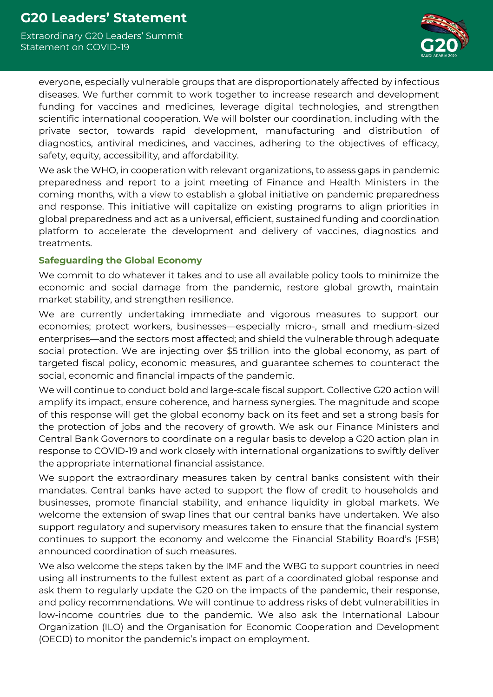Extraordinary G20 Leaders' Summit Statement on COVID-19



everyone, especially vulnerable groups that are disproportionately affected by infectious diseases. We further commit to work together to increase research and development funding for vaccines and medicines, leverage digital technologies, and strengthen scientific international cooperation. We will bolster our coordination, including with the private sector, towards rapid development, manufacturing and distribution of diagnostics, antiviral medicines, and vaccines, adhering to the objectives of efficacy, safety, equity, accessibility, and affordability.

We ask the WHO, in cooperation with relevant organizations, to assess gaps in pandemic preparedness and report to a joint meeting of Finance and Health Ministers in the coming months, with a view to establish a global initiative on pandemic preparedness and response. This initiative will capitalize on existing programs to align priorities in global preparedness and act as a universal, efficient, sustained funding and coordination platform to accelerate the development and delivery of vaccines, diagnostics and treatments.

#### **Safeguarding the Global Economy**

We commit to do whatever it takes and to use all available policy tools to minimize the economic and social damage from the pandemic, restore global growth, maintain market stability, and strengthen resilience.

We are currently undertaking immediate and vigorous measures to support our economies; protect workers, businesses—especially micro-, small and medium-sized enterprises—and the sectors most affected; and shield the vulnerable through adequate social protection. We are injecting over \$5 trillion into the global economy, as part of targeted fiscal policy, economic measures, and guarantee schemes to counteract the social, economic and financial impacts of the pandemic.

We will continue to conduct bold and large-scale fiscal support. Collective G20 action will amplify its impact, ensure coherence, and harness synergies. The magnitude and scope of this response will get the global economy back on its feet and set a strong basis for the protection of jobs and the recovery of growth. We ask our Finance Ministers and Central Bank Governors to coordinate on a regular basis to develop a G20 action plan in response to COVID-19 and work closely with international organizations to swiftly deliver the appropriate international financial assistance.

We support the extraordinary measures taken by central banks consistent with their mandates. Central banks have acted to support the flow of credit to households and businesses, promote financial stability, and enhance liquidity in global markets. We welcome the extension of swap lines that our central banks have undertaken. We also support regulatory and supervisory measures taken to ensure that the financial system continues to support the economy and welcome the Financial Stability Board's (FSB) announced coordination of such measures.

We also welcome the steps taken by the IMF and the WBG to support countries in need using all instruments to the fullest extent as part of a coordinated global response and ask them to regularly update the G20 on the impacts of the pandemic, their response, and policy recommendations. We will continue to address risks of debt vulnerabilities in low-income countries due to the pandemic. We also ask the International Labour Organization (ILO) and the Organisation for Economic Cooperation and Development (OECD) to monitor the pandemic's impact on employment.